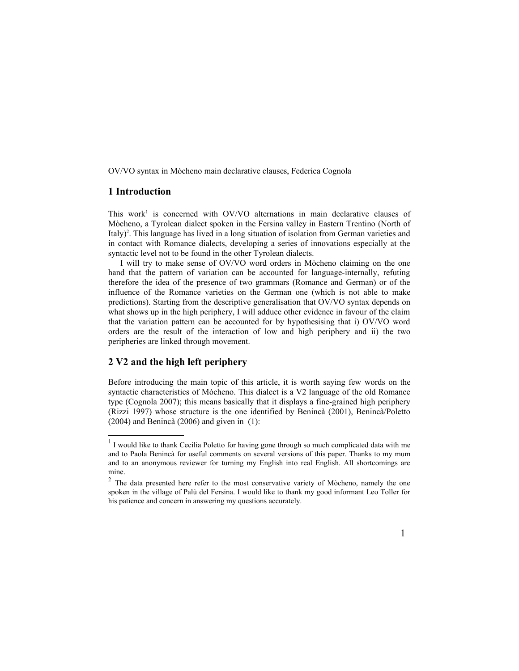OV/VO syntax in Mòcheno main declarative clauses, Federica Cognola

# **1 Introduction**

This work<sup>[1](#page-0-0)</sup> is concerned with OV/VO alternations in main declarative clauses of Mòcheno, a Tyrolean dialect spoken in the Fersina valley in Eastern Trentino (North of Italy)<sup>[2](#page-0-1)</sup>. This language has lived in a long situation of isolation from German varieties and in contact with Romance dialects, developing a series of innovations especially at the syntactic level not to be found in the other Tyrolean dialects.

I will try to make sense of OV/VO word orders in Mòcheno claiming on the one hand that the pattern of variation can be accounted for language-internally, refuting therefore the idea of the presence of two grammars (Romance and German) or of the influence of the Romance varieties on the German one (which is not able to make predictions). Starting from the descriptive generalisation that OV/VO syntax depends on what shows up in the high periphery, I will adduce other evidence in favour of the claim that the variation pattern can be accounted for by hypothesising that i) OV/VO word orders are the result of the interaction of low and high periphery and ii) the two peripheries are linked through movement.

### **2 V2 and the high left periphery**

Before introducing the main topic of this article, it is worth saying few words on the syntactic characteristics of Mòcheno. This dialect is a V2 language of the old Romance type (Cognola 2007); this means basically that it displays a fine-grained high periphery (Rizzi 1997) whose structure is the one identified by Benincà (2001), Benincà/Poletto (2004) and Benincà (2006) and given in (1):

<span id="page-0-1"></span> $2$  The data presented here refer to the most conservative variety of Mòcheno, namely the one spoken in the village of Palù del Fersina. I would like to thank my good informant Leo Toller for his patience and concern in answering my questions accurately.



<span id="page-0-0"></span> $<sup>1</sup>$  I would like to thank Cecilia Poletto for having gone through so much complicated data with me</sup> and to Paola Benincà for useful comments on several versions of this paper. Thanks to my mum and to an anonymous reviewer for turning my English into real English. All shortcomings are mine.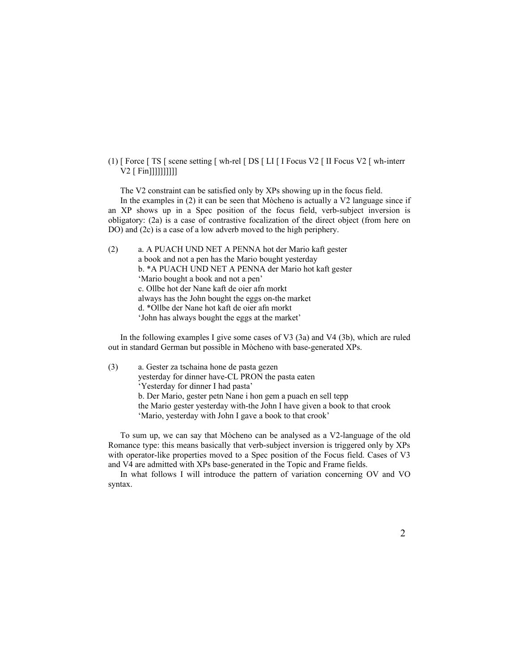### (1)  $\lceil$  Force  $\lceil$  TS  $\lceil$  scene setting  $\lceil$  wh-rel  $\lceil$  DS  $\lceil$  LI  $\lceil$  I Focus V2  $\lceil$  II Focus V2  $\lceil$  wh-interr V2 [ Fin]]]]]]]]]]

The V2 constraint can be satisfied only by XPs showing up in the focus field.

In the examples in (2) it can be seen that Mòcheno is actually a V2 language since if an XP shows up in a Spec position of the focus field, verb-subject inversion is obligatory: (2a) is a case of contrastive focalization of the direct object (from here on DO) and (2c) is a case of a low adverb moved to the high periphery.

| (2) | a. A PUACH UND NET A PENNA hot der Mario kaft gester   |
|-----|--------------------------------------------------------|
|     | a book and not a pen has the Mario bought yesterday    |
|     | b. * A PUACH UND NET A PENNA der Mario hot kaft gester |
|     | 'Mario bought a book and not a pen'                    |
|     | c. Ollbe hot der Nane kaft de oier afn morkt           |
|     | always has the John bought the eggs on-the market      |
|     | d. *Ollbe der Nane hot kaft de oier afn morkt          |
|     | 'John has always bought the eggs at the market'        |

In the following examples I give some cases of V3 (3a) and V4 (3b), which are ruled out in standard German but possible in Mòcheno with base-generated XPs.

| (3) | a. Gester za tschaina hone de pasta gezen                                  |
|-----|----------------------------------------------------------------------------|
|     | yesterday for dinner have-CL PRON the pasta eaten                          |
|     | 'Yesterday for dinner I had pasta'                                         |
|     | b. Der Mario, gester petn Nane i hon gem a puach en sell tepp              |
|     | the Mario gester yesterday with-the John I have given a book to that crook |
|     | 'Mario, yesterday with John I gave a book to that crook'                   |

To sum up, we can say that Mòcheno can be analysed as a V2-language of the old Romance type: this means basically that verb-subject inversion is triggered only by XPs with operator-like properties moved to a Spec position of the Focus field. Cases of V3 and V4 are admitted with XPs base-generated in the Topic and Frame fields.

In what follows I will introduce the pattern of variation concerning OV and VO syntax.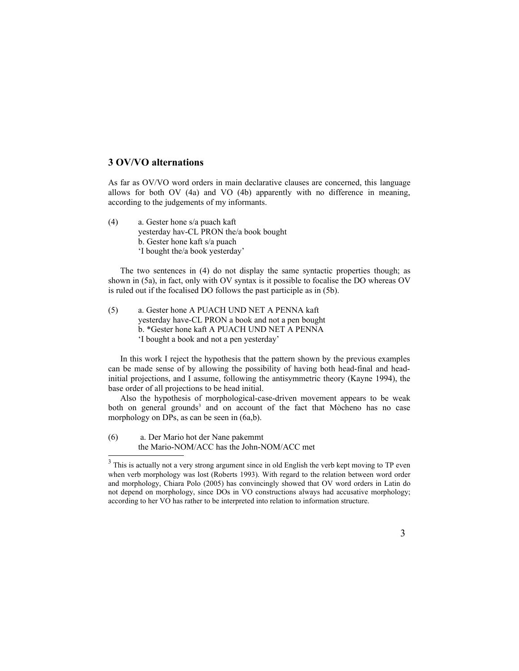## **3 OV/VO alternations**

As far as OV/VO word orders in main declarative clauses are concerned, this language allows for both OV (4a) and VO (4b) apparently with no difference in meaning, according to the judgements of my informants.

(4) a. Gester hone s/a puach kaft yesterday hav-CL PRON the/a book bought b. Gester hone kaft s/a puach 'I bought the/a book yesterday'

The two sentences in (4) do not display the same syntactic properties though; as shown in (5a), in fact, only with OV syntax is it possible to focalise the DO whereas OV is ruled out if the focalised DO follows the past participle as in (5b).

(5) a. Gester hone A PUACH UND NET A PENNA kaft yesterday have-CL PRON a book and not a pen bought b. \*Gester hone kaft A PUACH UND NET A PENNA 'I bought a book and not a pen yesterday'

In this work I reject the hypothesis that the pattern shown by the previous examples can be made sense of by allowing the possibility of having both head-final and headinitial projections, and I assume, following the antisymmetric theory (Kayne 1994), the base order of all projections to be head initial.

Also the hypothesis of morphological-case-driven movement appears to be weak both on general grounds<sup>[3](#page-2-0)</sup> and on account of the fact that Mòcheno has no case morphology on DPs, as can be seen in  $(6a,b)$ .

(6) a. Der Mario hot der Nane pakemmt the Mario-NOM/ACC has the John-NOM/ACC met

<span id="page-2-0"></span> $3$  This is actually not a very strong argument since in old English the verb kept moving to TP even when verb morphology was lost (Roberts 1993). With regard to the relation between word order and morphology, Chiara Polo (2005) has convincingly showed that OV word orders in Latin do not depend on morphology, since DOs in VO constructions always had accusative morphology; according to her VO has rather to be interpreted into relation to information structure.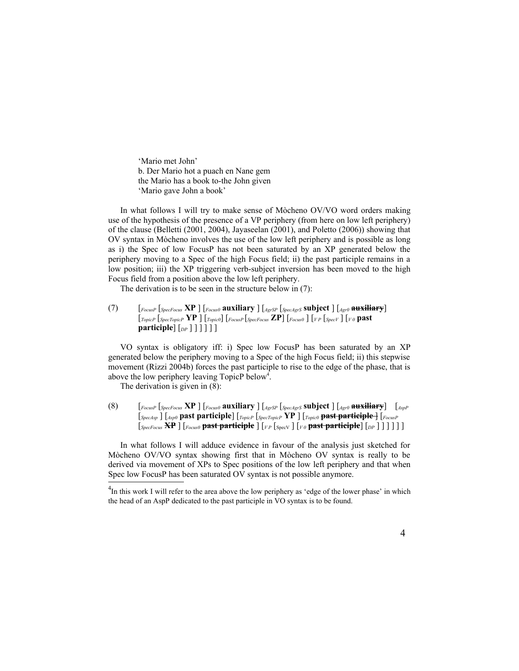'Mario met John' b. Der Mario hot a puach en Nane gem the Mario has a book to-the John given 'Mario gave John a book'

In what follows I will try to make sense of Mòcheno OV/VO word orders making use of the hypothesis of the presence of a VP periphery (from here on low left periphery) of the clause (Belletti (2001, 2004), Jayaseelan (2001), and Poletto (2006)) showing that OV syntax in Mòcheno involves the use of the low left periphery and is possible as long as i) the Spec of low FocusP has not been saturated by an XP generated below the periphery moving to a Spec of the high Focus field; ii) the past participle remains in a low position; iii) the XP triggering verb-subject inversion has been moved to the high Focus field from a position above the low left periphery.

The derivation is to be seen in the structure below in (7):

(7) [*FocusP* [*SpecFocus* **XP** ] [*Focus0* **auxiliary** ] [*AgrSP* [*SpecAgrS* **subject** ] [*Agr0* **auxiliary**] [*TopicP* [*SpecTopicP* **YP** ] [*Topic0*] [*FocusP* [*SpecFocus* **ZP**] [*Focus0* ] [*V P* [*SpecV* ] [*V 0* **past participle**] [*DP* ] ] ] ] ] ]

VO syntax is obligatory iff: i) Spec low FocusP has been saturated by an XP generated below the periphery moving to a Spec of the high Focus field; ii) this stepwise movement (Rizzi 2004b) forces the past participle to rise to the edge of the phase, that is above the low periphery leaving TopicP below<sup>[4](#page-3-0)</sup>.

The derivation is given in (8):

(8) [*FocusP* [*SpecFocus* **XP** ] [*Focus0* **auxiliary** ] [*AgrSP* [*SpecAgrS* **subject** ] [*Agr0* **auxiliary**] [*AspP* [*SpecAsp* ] [*Asp0* **past participle**] [*TopicP* [*SpecTopicP* **YP** ] [*Topic0* **past participle** ] [*FocusP* [*SpecFocus* **XP** ] [*Focus0* **past participle** ] [*V P* [SpecV ] [*V 0* **past participle**] [*DP* ] ] ] ] ] ]

In what follows I will adduce evidence in favour of the analysis just sketched for Mòcheno OV/VO syntax showing first that in Mòcheno OV syntax is really to be derived via movement of XPs to Spec positions of the low left periphery and that when Spec low FocusP has been saturated OV syntax is not possible anymore.

<span id="page-3-0"></span> $<sup>4</sup>$ In this work I will refer to the area above the low periphery as 'edge of the lower phase' in which</sup> the head of an AspP dedicated to the past participle in VO syntax is to be found.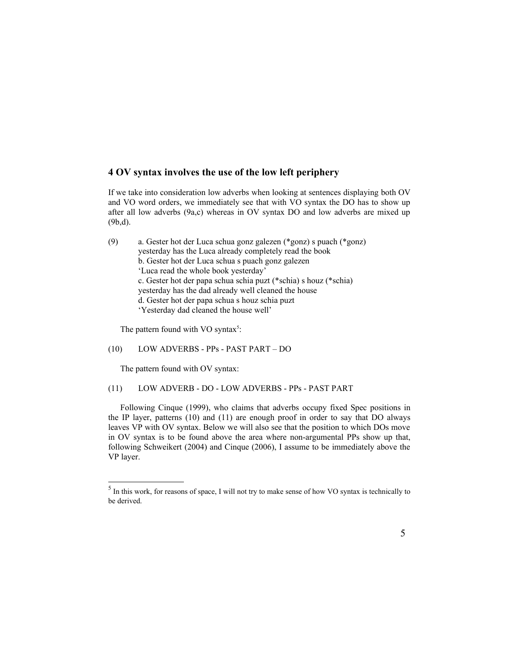# **4 OV syntax involves the use of the low left periphery**

If we take into consideration low adverbs when looking at sentences displaying both OV and VO word orders, we immediately see that with VO syntax the DO has to show up after all low adverbs (9a,c) whereas in OV syntax DO and low adverbs are mixed up (9b,d).

| (9) | a. Gester hot der Luca schua gonz galezen (*gonz) s puach (*gonz) |
|-----|-------------------------------------------------------------------|
|     | yesterday has the Luca already completely read the book           |
|     | b. Gester hot der Luca schua s puach gonz galezen                 |
|     | 'Luca read the whole book yesterday'                              |
|     | c. Gester hot der papa schua schia puzt (*schia) s houz (*schia)  |
|     | yesterday has the dad already well cleaned the house              |
|     | d. Gester hot der papa schua s houz schia puzt                    |
|     | 'Yesterday dad cleaned the house well'                            |
|     |                                                                   |

The pattern found with VO syntax<sup>[5](#page-4-0)</sup>:

#### (10) LOW ADVERBS - PPs - PAST PART – DO

The pattern found with OV syntax:

## (11) LOW ADVERB - DO - LOW ADVERBS - PPs - PAST PART

Following Cinque (1999), who claims that adverbs occupy fixed Spec positions in the IP layer, patterns (10) and (11) are enough proof in order to say that DO always leaves VP with OV syntax. Below we will also see that the position to which DOs move in OV syntax is to be found above the area where non-argumental PPs show up that, following Schweikert (2004) and Cinque (2006), I assume to be immediately above the VP layer.

<span id="page-4-0"></span> $<sup>5</sup>$  In this work, for reasons of space, I will not try to make sense of how VO syntax is technically to</sup> be derived.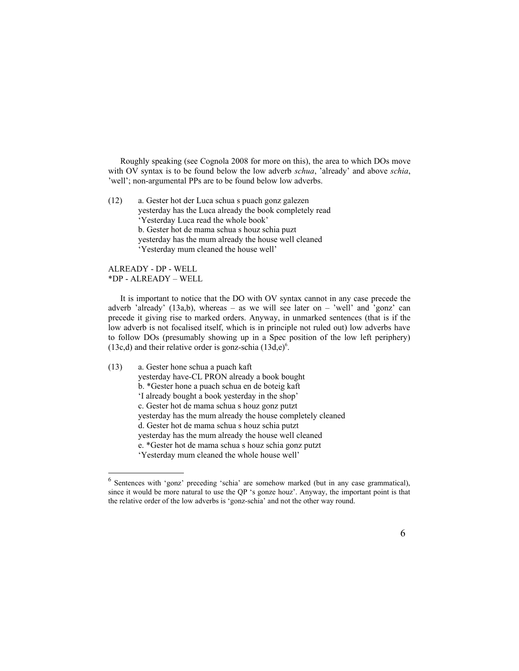Roughly speaking (see Cognola 2008 for more on this), the area to which DOs move with OV syntax is to be found below the low adverb *schua*, 'already' and above *schia*, 'well'; non-argumental PPs are to be found below low adverbs.

(12) a. Gester hot der Luca schua s puach gonz galezen yesterday has the Luca already the book completely read 'Yesterday Luca read the whole book' b. Gester hot de mama schua s houz schia puzt yesterday has the mum already the house well cleaned 'Yesterday mum cleaned the house well'

ALREADY - DP - WELL \*DP - ALREADY – WELL

It is important to notice that the DO with OV syntax cannot in any case precede the adverb 'already' (13a,b), whereas – as we will see later on – 'well' and 'gonz' can precede it giving rise to marked orders. Anyway, in unmarked sentences (that is if the low adverb is not focalised itself, which is in principle not ruled out) low adverbs have to follow DOs (presumably showing up in a Spec position of the low left periphery)  $(13c,d)$  and their relative order is gonz-schia  $(13d,e)^6$  $(13d,e)^6$ .

(13) a. Gester hone schua a puach kaft yesterday have-CL PRON already a book bought b. \*Gester hone a puach schua en de boteig kaft 'I already bought a book yesterday in the shop' c. Gester hot de mama schua s houz gonz putzt yesterday has the mum already the house completely cleaned d. Gester hot de mama schua s houz schia putzt yesterday has the mum already the house well cleaned e. \*Gester hot de mama schua s houz schia gonz putzt 'Yesterday mum cleaned the whole house well'

<span id="page-5-0"></span><sup>&</sup>lt;sup>6</sup> Sentences with 'gonz' preceding 'schia' are somehow marked (but in any case grammatical), since it would be more natural to use the QP 's gonze houz'. Anyway, the important point is that the relative order of the low adverbs is 'gonz-schia' and not the other way round.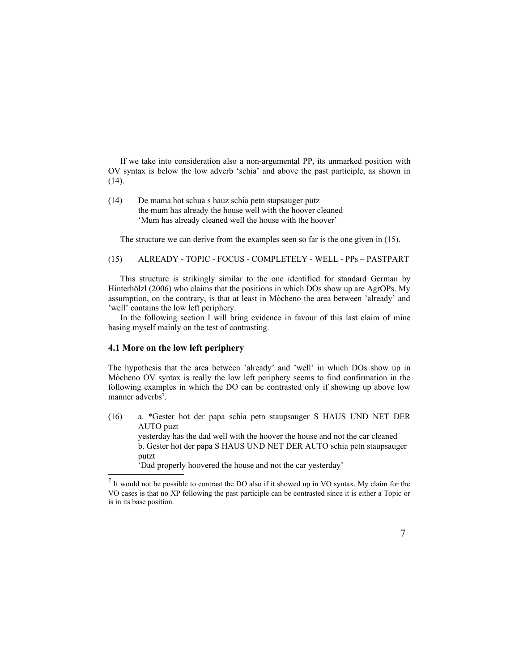If we take into consideration also a non-argumental PP, its unmarked position with OV syntax is below the low adverb 'schia' and above the past participle, as shown in (14).

(14) De mama hot schua s hauz schia petn stapsauger putz the mum has already the house well with the hoover cleaned 'Mum has already cleaned well the house with the hoover'

The structure we can derive from the examples seen so far is the one given in (15).

(15) ALREADY - TOPIC - FOCUS - COMPLETELY - WELL - PPs – PASTPART

This structure is strikingly similar to the one identified for standard German by Hinterhölzl (2006) who claims that the positions in which DOs show up are AgrOPs. My assumption, on the contrary, is that at least in Mòcheno the area between 'already' and 'well' contains the low left periphery.

In the following section I will bring evidence in favour of this last claim of mine basing myself mainly on the test of contrasting.

### **4.1 More on the low left periphery**

The hypothesis that the area between 'already' and 'well' in which DOs show up in Mòcheno OV syntax is really the low left periphery seems to find confirmation in the following examples in which the DO can be contrasted only if showing up above low manner adverbs<sup>[7](#page-6-0)</sup>.

(16) a. \*Gester hot der papa schia petn staupsauger S HAUS UND NET DER AUTO puzt yesterday has the dad well with the hoover the house and not the car cleaned b. Gester hot der papa S HAUS UND NET DER AUTO schia petn staupsauger putzt 'Dad properly hoovered the house and not the car yesterday'

<span id="page-6-0"></span> $<sup>7</sup>$  It would not be possible to contrast the DO also if it showed up in VO syntax. My claim for the</sup> VO cases is that no XP following the past participle can be contrasted since it is either a Topic or is in its base position.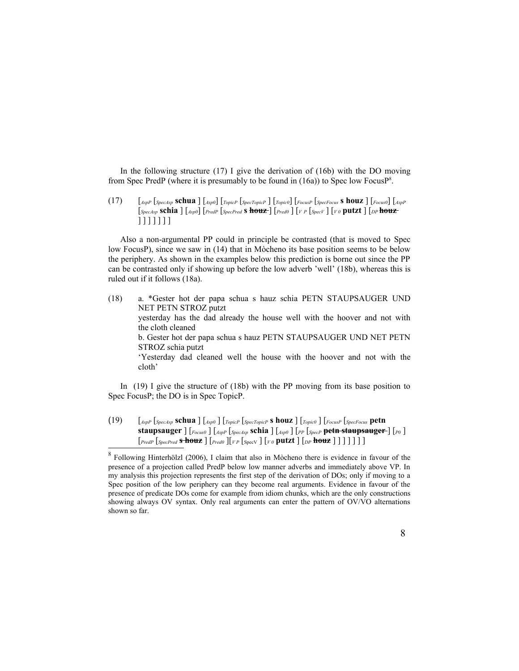In the following structure (17) I give the derivation of (16b) with the DO moving from Spec PredP (where it is presumably to be found in (16a)) to Spec low FocusP<sup>[8](#page-7-0)</sup>.

(17) [*AspP* [*SpecAsp* **schua** ] [*Asp0*] [*TopicP* [*SpecTopicP* ] [*Topic0*] [*FocusP* [*SpecFocus* **s houz** ] [*Focus0*] [*AspP* [*SpecAsp* **schia** ] [*Asp0*] [*PredP* [*SpecPred* **s houz** ] [*Pred0* ] [*<sup>V</sup> <sup>P</sup>* [*SpecV* ] [*<sup>V</sup> <sup>0</sup>* **putzt** ] [*DP* **houz** ] ] ] ] ] ] ]

Also a non-argumental PP could in principle be contrasted (that is moved to Spec low FocusP), since we saw in (14) that in Mòcheno its base position seems to be below the periphery. As shown in the examples below this prediction is borne out since the PP can be contrasted only if showing up before the low adverb 'well' (18b), whereas this is ruled out if it follows (18a).

(18) a. \*Gester hot der papa schua s hauz schia PETN STAUPSAUGER UND NET PETN STROZ putzt yesterday has the dad already the house well with the hoover and not with the cloth cleaned b. Gester hot der papa schua s hauz PETN STAUPSAUGER UND NET PETN STROZ schia putzt 'Yesterday dad cleaned well the house with the hoover and not with the cloth'

In (19) I give the structure of (18b) with the PP moving from its base position to Spec FocusP; the DO is in Spec TopicP.

(19) [*AspP* [*SpecAsp* **schua** ] [*Asp0* ] [*TopicP* [*SpecTopicP* **s houz** ] [*Topic0* ] [*FocusP* [*SpecFocus* **petn staupsauger** ] [*Focus0* ] [*AspP* [*SpecAsp* **schia** ] [*Asp0* ] [*PP* [*SpecP* **petn staupsauger** ] [*P0* ] [*PredP* [*SpecPred* **s houz** ] [*Pred0* ][*<sup>V</sup> <sup>P</sup>* [SpecV ] [*<sup>V</sup> <sup>0</sup>* **putzt** ] [*DP* **houz** ] ] ] ] ] ] ]

<span id="page-7-0"></span><sup>&</sup>lt;sup>8</sup> Following Hinterhölzl (2006), I claim that also in Mòcheno there is evidence in favour of the presence of a projection called PredP below low manner adverbs and immediately above VP. In my analysis this projection represents the first step of the derivation of DOs; only if moving to a Spec position of the low periphery can they become real arguments. Evidence in favour of the presence of predicate DOs come for example from idiom chunks, which are the only constructions showing always OV syntax. Only real arguments can enter the pattern of OV/VO alternations shown so far.

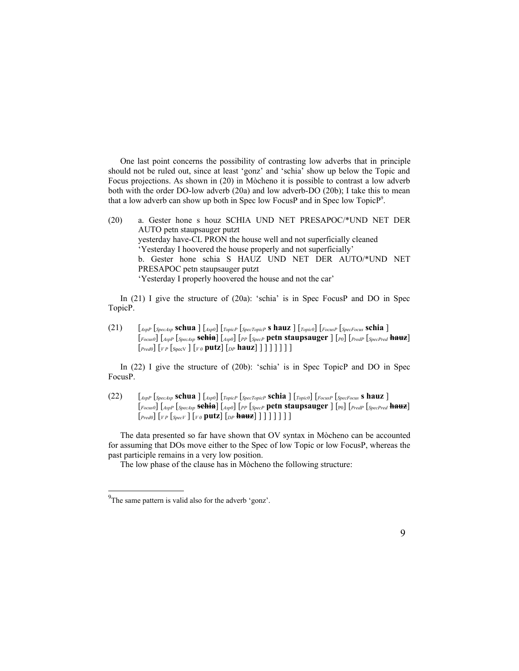One last point concerns the possibility of contrasting low adverbs that in principle should not be ruled out, since at least 'gonz' and 'schia' show up below the Topic and Focus projections. As shown in (20) in Mòcheno it is possible to contrast a low adverb both with the order DO-low adverb (20a) and low adverb-DO (20b); I take this to mean that a low adverb can show up both in Spec low FocusP and in Spec low TopicP<sup>[9](#page-8-0)</sup>.

(20) a. Gester hone s houz SCHIA UND NET PRESAPOC/\*UND NET DER AUTO petn staupsauger putzt yesterday have-CL PRON the house well and not superficially cleaned 'Yesterday I hoovered the house properly and not superficially' b. Gester hone schia S HAUZ UND NET DER AUTO/\*UND NET PRESAPOC petn staupsauger putzt 'Yesterday I properly hoovered the house and not the car'

In (21) I give the structure of (20a): 'schia' is in Spec FocusP and DO in Spec TopicP.

(21) [*AspP* [*SpecAsp* **schua** ] [*Asp0*] [*TopicP* [*SpecTopicP* **s hauz** ] [*Topic0*] [*FocusP* [*SpecFocus* **schia** ] [*Focus0*] [*AspP* [*SpecAsp* **schia**] [*Asp0*] [*PP* [*SpecP* **petn staupsauger** ] [*P0*] [*PredP* [*SpecPred* **hauz**] [*Pred0*] [*<sup>V</sup> <sup>P</sup>* [SpecV ] [*<sup>V</sup> <sup>0</sup>* **putz**] [*DP* **hauz**] ] ] ] ] ] ] ]

In (22) I give the structure of (20b): 'schia' is in Spec TopicP and DO in Spec FocusP.

(22) [*AspP* [*SpecAsp* **schua** ] [*Asp0*] [*TopicP* [*SpecTopicP* **schia** ] [*Topic0*] [*FocusP* [*SpecFocus* **s hauz** ] [*Focus0*] [*AspP* [*SpecAsp* **schia**] [*Asp0*] [*PP* [*SpecP* **petn staupsauger** ] [P0] [*PredP* [*SpecPred* **hauz**] [*Pred0*] [*V P* [*SpecV* ] [*V 0* **putz**] [*DP* **hauz**] ] ] ] ] ] ] ]

The data presented so far have shown that OV syntax in Mòcheno can be accounted for assuming that DOs move either to the Spec of low Topic or low FocusP, whereas the past participle remains in a very low position.

The low phase of the clause has in Mòcheno the following structure:

<span id="page-8-0"></span> $^{9}$ The same pattern is valid also for the adverb 'gonz'.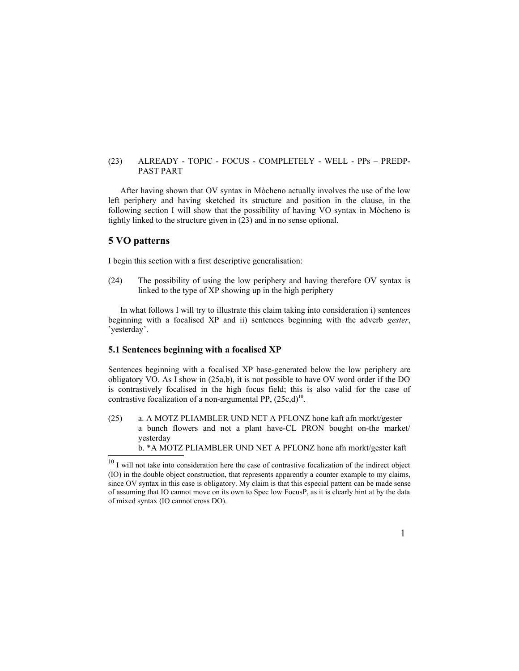#### (23) ALREADY - TOPIC - FOCUS - COMPLETELY - WELL - PPs – PREDP-PAST PART

After having shown that OV syntax in Mòcheno actually involves the use of the low left periphery and having sketched its structure and position in the clause, in the following section I will show that the possibility of having VO syntax in Mòcheno is tightly linked to the structure given in (23) and in no sense optional.

### **5 VO patterns**

I begin this section with a first descriptive generalisation:

(24) The possibility of using the low periphery and having therefore OV syntax is linked to the type of XP showing up in the high periphery

In what follows I will try to illustrate this claim taking into consideration i) sentences beginning with a focalised XP and ii) sentences beginning with the adverb *gester*, 'yesterday'.

### **5.1 Sentences beginning with a focalised XP**

Sentences beginning with a focalised XP base-generated below the low periphery are obligatory VO. As I show in (25a,b), it is not possible to have OV word order if the DO is contrastively focalised in the high focus field; this is also valid for the case of contrastive focalization of a non-argumental PP,  $(25c,d)^{10}$  $(25c,d)^{10}$  $(25c,d)^{10}$ .

(25) a. A MOTZ PLIAMBLER UND NET A PFLONZ hone kaft afn morkt/gester a bunch flowers and not a plant have-CL PRON bought on-the market/ yesterday b. \*A MOTZ PLIAMBLER UND NET A PFLONZ hone afn morkt/gester kaft

<span id="page-9-0"></span> $10$  I will not take into consideration here the case of contrastive focalization of the indirect object (IO) in the double object construction, that represents apparently a counter example to my claims, since OV syntax in this case is obligatory. My claim is that this especial pattern can be made sense of assuming that IO cannot move on its own to Spec low FocusP, as it is clearly hint at by the data of mixed syntax (IO cannot cross DO).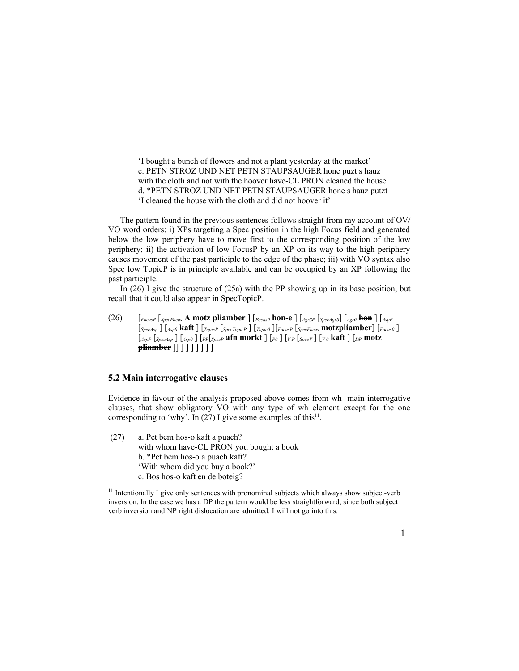'I bought a bunch of flowers and not a plant yesterday at the market' c. PETN STROZ UND NET PETN STAUPSAUGER hone puzt s hauz with the cloth and not with the hoover have-CL PRON cleaned the house d. \*PETN STROZ UND NET PETN STAUPSAUGER hone s hauz putzt 'I cleaned the house with the cloth and did not hoover it'

The pattern found in the previous sentences follows straight from my account of OV/ VO word orders: i) XPs targeting a Spec position in the high Focus field and generated below the low periphery have to move first to the corresponding position of the low periphery; ii) the activation of low FocusP by an XP on its way to the high periphery causes movement of the past participle to the edge of the phase; iii) with VO syntax also Spec low TopicP is in principle available and can be occupied by an XP following the past participle.

In (26) I give the structure of (25a) with the PP showing up in its base position, but recall that it could also appear in SpecTopicP.

(26) [*FocusP* [*SpecFocus* **A motz pliamber** ] [*Focus0* **hon-e** ] [*AgrSP* [*SpecAgrS*] [*Agr0* **hon** ] [*AspP* [*SpecAsp* ] [*Asp0* **kaft** ] [*TopicP* [*SpecTopicP* ] [*Topic0* ][*FocusP* [*SpecFocus* **motzpliamber**] [*Focus0* ] [*AspP* [*SpecAsp* ] [*Asp0* ] [*PP*[*SpecP* **afn morkt** ] [*P0* ] [*<sup>V</sup> <sup>P</sup>* [*SpecV* ] [*<sup>V</sup> <sup>0</sup>* **kaft** ] [*DP* **motz pliamber** ]] ] ] ] ] ] ] ]

### **5.2 Main interrogative clauses**

Evidence in favour of the analysis proposed above comes from wh- main interrogative clauses, that show obligatory VO with any type of wh element except for the one corresponding to 'why'. In  $(27)$  I give some examples of this<sup>[11](#page-10-0)</sup>.

(27) a. Pet bem hos-o kaft a puach? with whom have-CL PRON you bought a book b. \*Pet bem hos-o a puach kaft? 'With whom did you buy a book?' c. Bos hos-o kaft en de boteig?

<span id="page-10-0"></span><sup>&</sup>lt;sup>11</sup> Intentionally I give only sentences with pronominal subjects which always show subject-verb inversion. In the case we has a DP the pattern would be less straightforward, since both subject verb inversion and NP right dislocation are admitted. I will not go into this.

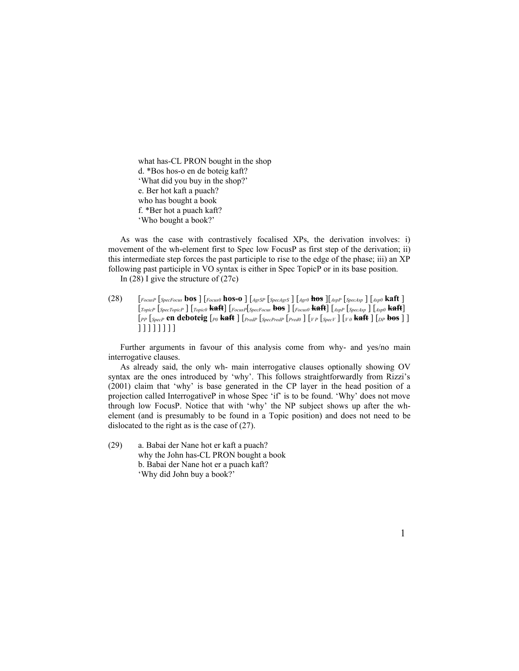what has-CL PRON bought in the shop d. \*Bos hos-o en de boteig kaft? 'What did you buy in the shop?' e. Ber hot kaft a puach? who has bought a book f. \*Ber hot a puach kaft? 'Who bought a book?'

As was the case with contrastively focalised XPs, the derivation involves: i) movement of the wh-element first to Spec low FocusP as first step of the derivation; ii) this intermediate step forces the past participle to rise to the edge of the phase; iii) an XP following past participle in VO syntax is either in Spec TopicP or in its base position.

In  $(28)$  I give the structure of  $(27c)$ 

(28) [*FocusP* [*SpecFocus* **bos** ] [*Focus0* **hos-o** ] [*AgrSP* [*SpecAgrS* ] [*Agr0* **hos** ][*AspP* [*SpecAsp* ] [*Asp0* **kaft** ] [*TopicP* [*SpecTopicP* ] [*Topic0* **kaft**] [*FocusP*[*SpecFocus* **bos** ] [*Focus0* **kaft**] [*AspP* [*SpecAsp* ] [*Asp0* **kaft**] [*PP* [*SpecP* **en deboteig** [*P0* **kaft** ] [*PredP* [*SpecPredP* [*Pred0* ] [*V P* [*SpecV* ] [*V 0* **kaft** ] [*DP* **bos** ] ] ] ] ] ] ] ] ] ]

Further arguments in favour of this analysis come from why- and yes/no main interrogative clauses.

As already said, the only wh- main interrogative clauses optionally showing OV syntax are the ones introduced by 'why'. This follows straightforwardly from Rizzi's (2001) claim that 'why' is base generated in the CP layer in the head position of a projection called InterrogativeP in whose Spec 'if' is to be found. 'Why' does not move through low FocusP. Notice that with 'why' the NP subject shows up after the whelement (and is presumably to be found in a Topic position) and does not need to be dislocated to the right as is the case of (27).

(29) a. Babai der Nane hot er kaft a puach? why the John has-CL PRON bought a book b. Babai der Nane hot er a puach kaft? 'Why did John buy a book?'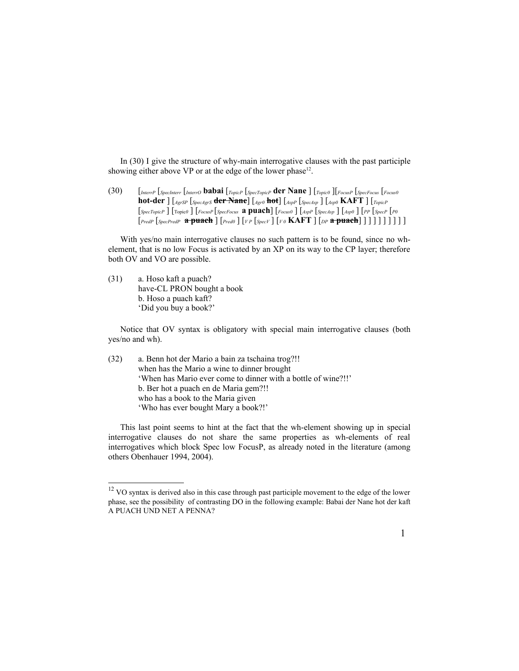In (30) I give the structure of why-main interrogative clauses with the past participle showing either above VP or at the edge of the lower phase<sup>[12](#page-12-0)</sup>.

(30) [*InterrP* [*SpecInterr* [*InterrO* **babai** [*TopicP* [*SpecTopicP* **der Nane** ] [*Topic0* ][*FocusP* [*SpecFocus* [*Focus0* **hot-der** ] [*AgrSP* [*SpecAgrS* **der Nane**] [*Agr0* **hot**] [*AspP* [*SpecAsp* ] [*Asp0* **KAFT** ] [*TopicP* [*SpecTopicP* ] [Topic*0* ] [*FocusP* [*SpecFocus* **a puach**] [*Focus0* ] [*AspP* [*SpecAsp* ] [*Asp0* ] [*PP* [*SpecP* [*P0* [*PredP* [*SpecPredP* **a puach** ] [*Pred0* ] [*<sup>V</sup> <sup>P</sup>* [*SpecV* ] [*V 0* **KAFT** ] [*DP* **a puach**] ] ] ] ] ] ] ] ] ]

With yes/no main interrogative clauses no such pattern is to be found, since no whelement, that is no low Focus is activated by an XP on its way to the CP layer; therefore both OV and VO are possible.

(31) a. Hoso kaft a puach? have-CL PRON bought a book b. Hoso a puach kaft? 'Did you buy a book?'

Notice that OV syntax is obligatory with special main interrogative clauses (both yes/no and wh).

(32) a. Benn hot der Mario a bain za tschaina trog?!! when has the Mario a wine to dinner brought 'When has Mario ever come to dinner with a bottle of wine?!!' b. Ber hot a puach en de Maria gem?!! who has a book to the Maria given 'Who has ever bought Mary a book?!'

This last point seems to hint at the fact that the wh-element showing up in special interrogative clauses do not share the same properties as wh-elements of real interrogatives which block Spec low FocusP, as already noted in the literature (among others Obenhauer 1994, 2004).

<span id="page-12-0"></span><sup>&</sup>lt;sup>12</sup> VO syntax is derived also in this case through past participle movement to the edge of the lower phase, see the possibility of contrasting DO in the following example: Babai der Nane hot der kaft A PUACH UND NET A PENNA?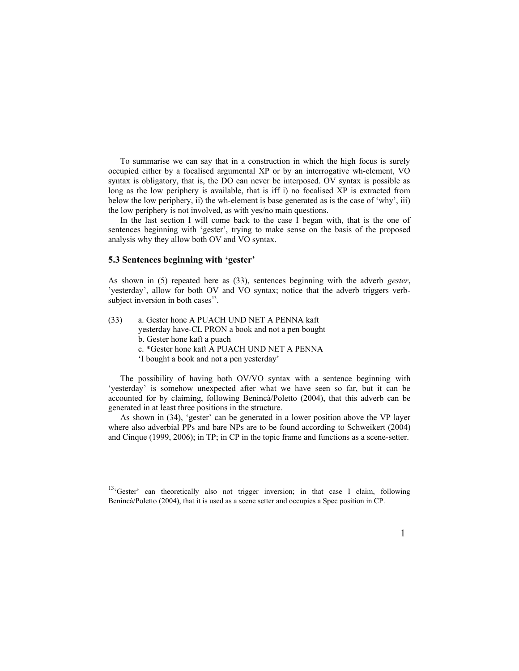To summarise we can say that in a construction in which the high focus is surely occupied either by a focalised argumental XP or by an interrogative wh-element, VO syntax is obligatory, that is, the DO can never be interposed. OV syntax is possible as long as the low periphery is available, that is iff i) no focalised XP is extracted from below the low periphery, ii) the wh-element is base generated as is the case of 'why', iii) the low periphery is not involved, as with yes/no main questions.

In the last section I will come back to the case I began with, that is the one of sentences beginning with 'gester', trying to make sense on the basis of the proposed analysis why they allow both OV and VO syntax.

#### **5.3 Sentences beginning with 'gester'**

As shown in (5) repeated here as (33), sentences beginning with the adverb *gester*, 'yesterday', allow for both OV and VO syntax; notice that the adverb triggers verbsubject inversion in both cases $<sup>13</sup>$  $<sup>13</sup>$  $<sup>13</sup>$ .</sup>

- (33) a. Gester hone A PUACH UND NET A PENNA kaft yesterday have-CL PRON a book and not a pen bought b. Gester hone kaft a puach c. \*Gester hone kaft A PUACH UND NET A PENNA
	- 'I bought a book and not a pen yesterday'

The possibility of having both OV/VO syntax with a sentence beginning with 'yesterday' is somehow unexpected after what we have seen so far, but it can be accounted for by claiming, following Benincà/Poletto (2004), that this adverb can be generated in at least three positions in the structure.

As shown in (34), 'gester' can be generated in a lower position above the VP layer where also adverbial PPs and bare NPs are to be found according to Schweikert (2004) and Cinque (1999, 2006); in TP; in CP in the topic frame and functions as a scene-setter.

<span id="page-13-0"></span><sup>&</sup>lt;sup>13</sup>'Gester' can theoretically also not trigger inversion; in that case I claim, following Benincà/Poletto (2004), that it is used as a scene setter and occupies a Spec position in CP.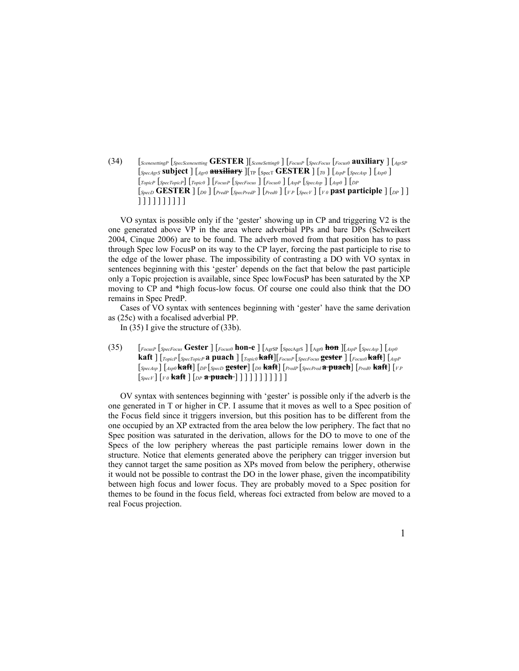(34) [*ScenesettingP* [*SpecScenesetting* **GESTER** ][*SceneSetting0* ] [*FocusP* [*SpecFocus* [*Focus0* **auxiliary** ] [*AgrSP*  $\left[\text{Spec}A_{grS}\text{ subject}\right]\left[\text{Arg}\right]$  **auxiliary**  $\left[\text{Tr}\left[\text{Spec}T\text{ GESTER}\right]\left[\text{Tr}\right]\left[\text{Spec}A_{sp}\right]\left[\text{Arg}\right]\right]$ [*TopicP* [*SpecTopicP*] [*Topic0* ] [*FocusP* [*SpecFocus* ] [*Focus0* ] [*AspP* [*SpecAsp* ] [*Asp0* ] [*DP* [*SpecD* **GESTER** ] [*D0* ] [*PredP* [*SpecPredP* ] [*Pred0* ] [*V P* [*SpecV* ] [*V 0* **past participle** ] [*DP* ] ] ] ] ] ] ] ] ] ] ] ]

VO syntax is possible only if the 'gester' showing up in CP and triggering V2 is the one generated above VP in the area where adverbial PPs and bare DPs (Schweikert 2004, Cinque 2006) are to be found. The adverb moved from that position has to pass through Spec low FocusP on its way to the CP layer, forcing the past participle to rise to the edge of the lower phase. The impossibility of contrasting a DO with VO syntax in sentences beginning with this 'gester' depends on the fact that below the past participle only a Topic projection is available, since Spec lowFocusP has been saturated by the XP moving to CP and \*high focus-low focus. Of course one could also think that the DO remains in Spec PredP.

Cases of VO syntax with sentences beginning with 'gester' have the same derivation as (25c) with a focalised adverbial PP.

In (35) I give the structure of (33b).

(35) [*FocusP* [*SpecFocus* **Gester** ] [*Focus0* **hon-e** ] [AgrSP [SpecAgrS ] [Agr0 **hon** ][*AspP* [*SpecAsp* ] [*Asp0* **kaft** ] [*TopicP* [*SpecTopicP* **a puach** ] [*Topic0* **kaft**][*FocusP* [*SpecFocus* **gester** ] [*Focus0* **kaft**] [*AspP* [*SpecAsp* ] [*Asp0* **kaft**] [*DP* [*SpecD* **gester**] [*D0* **kaft**] [*PredP* [*SpecPred* **a puach**] [*Pred0* **kaft**] [*V P* [*SpecV* ] [*V 0* **kaft** ] [*DP* **a puach** ] ] ] ] ] ] ] ] ] ] ]

OV syntax with sentences beginning with 'gester' is possible only if the adverb is the one generated in T or higher in CP. I assume that it moves as well to a Spec position of the Focus field since it triggers inversion, but this position has to be different from the one occupied by an XP extracted from the area below the low periphery. The fact that no Spec position was saturated in the derivation, allows for the DO to move to one of the Specs of the low periphery whereas the past participle remains lower down in the structure. Notice that elements generated above the periphery can trigger inversion but they cannot target the same position as XPs moved from below the periphery, otherwise it would not be possible to contrast the DO in the lower phase, given the incompatibility between high focus and lower focus. They are probably moved to a Spec position for themes to be found in the focus field, whereas foci extracted from below are moved to a real Focus projection.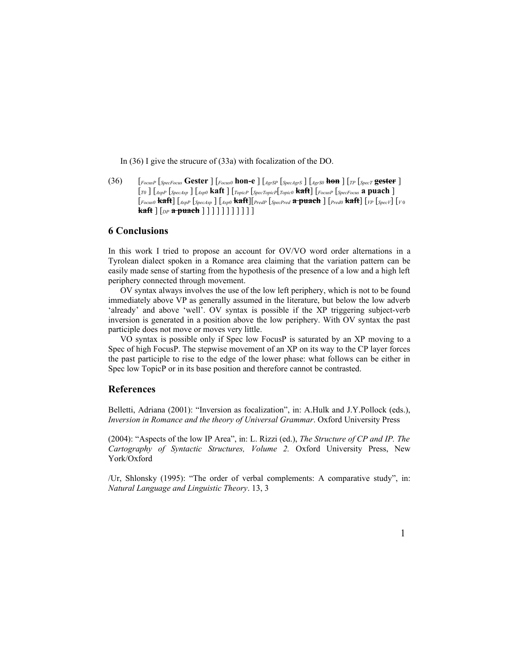In (36) I give the strucure of (33a) with focalization of the DO.

(36) [*FocusP* [*SpecFocus* **Gester** ] [*Focus0* **hon-e** ] [*AgrSP* [*SpecAgrS* ] [*AgrS0* **hon** ] [*TP* [*SpecT* **gester** ] [*T0* ] [*AspP* [*SpecAsp* ] [*Asp0* **kaft** ] [*TopicP* [*SpecTopicP*[*Topic0* **kaft**] [*FocusP* [*SpecFocus* **a puach** ] [*Focus0* **kaft**] [*AspP* [*SpecAsp* ] [*Asp0* **kaft**][*PredP* [*SpecPred* **a puach** ] [*Pred0* **kaft**] [*VP* [*SpecV*] [*V*<sup>0</sup> **kaft** ] [*DP* **a puach** ] ] ] ] ] ] ] ] ] ] ]

### **6 Conclusions**

In this work I tried to propose an account for OV/VO word order alternations in a Tyrolean dialect spoken in a Romance area claiming that the variation pattern can be easily made sense of starting from the hypothesis of the presence of a low and a high left periphery connected through movement.

OV syntax always involves the use of the low left periphery, which is not to be found immediately above VP as generally assumed in the literature, but below the low adverb 'already' and above 'well'. OV syntax is possible if the XP triggering subject-verb inversion is generated in a position above the low periphery. With OV syntax the past participle does not move or moves very little.

VO syntax is possible only if Spec low FocusP is saturated by an XP moving to a Spec of high FocusP. The stepwise movement of an XP on its way to the CP layer forces the past participle to rise to the edge of the lower phase: what follows can be either in Spec low TopicP or in its base position and therefore cannot be contrasted.

### **References**

Belletti, Adriana (2001): "Inversion as focalization", in: A.Hulk and J.Y.Pollock (eds.), *Inversion in Romance and the theory of Universal Grammar*. Oxford University Press

(2004): "Aspects of the low IP Area", in: L. Rizzi (ed.), *The Structure of CP and IP. The Cartography of Syntactic Structures, Volume 2.* Oxford University Press, New York/Oxford

/Ur, Shlonsky (1995): "The order of verbal complements: A comparative study", in: *Natural Language and Linguistic Theory*. 13, 3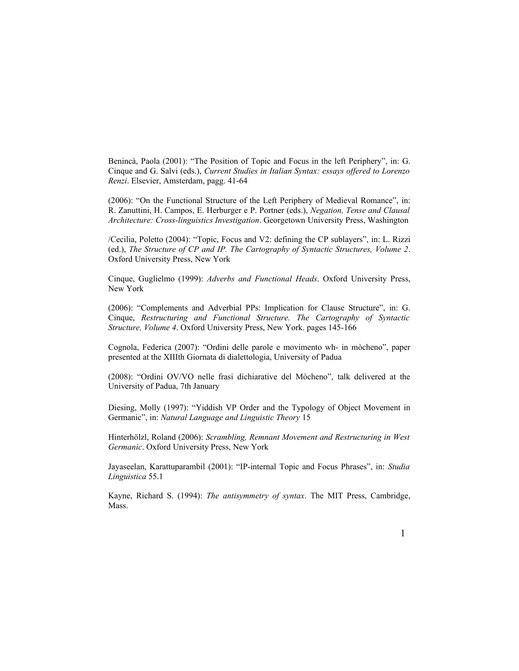Benincà, Paola (2001): "The Position of Topic and Focus in the left Periphery", in: G. Cinque and G. Salvi (eds.), *Current Studies in Italian Syntax: essays offered to Lorenzo Renzi*. Elsevier, Amsterdam, pagg. 41-64

(2006): "On the Functional Structure of the Left Periphery of Medieval Romance", in: R. Zanuttini, H. Campos, E. Herburger e P. Portner (eds.), *Negation, Tense and Clausal Architecture: Cross-linguistics Investigation*. Georgetown University Press, Washington

/Cecilia, Poletto (2004): "Topic, Focus and V2: defining the CP sublayers", in: L. Rizzi (ed.), *The Structure of CP and IP. The Cartography of Syntactic Structures, Volume 2*. Oxford University Press, New York

Cinque, Guglielmo (1999): *Adverbs and Functional Heads*. Oxford University Press, New York

(2006): "Complements and Adverbial PPs: Implication for Clause Structure", in: G. Cinque, *Restructuring and Functional Structure. The Cartography of Syntactic Structure, Volume 4*. Oxford University Press, New York. pages 145-166

Cognola, Federica (2007): "Ordini delle parole e movimento wh- in mòcheno", paper presented at the XIIIth Giornata di dialettologia, University of Padua

(2008): "Ordini OV/VO nelle frasi dichiarative del Mòcheno", talk delivered at the University of Padua, 7th January

Diesing, Molly (1997): "Yiddish VP Order and the Typology of Object Movement in Germanic", in: *Natural Language and Linguistic Theory* 15

Hinterhölzl, Roland (2006): *Scrambling, Remnant Movement and Restructuring in West Germanic*. Oxford University Press, New York

Jayaseelan, Karattuparambil (2001): "IP-internal Topic and Focus Phrases", in: *Studia Linguistica* 55.1

Kayne, Richard S. (1994): *The antisymmetry of syntax*. The MIT Press, Cambridge, Mass.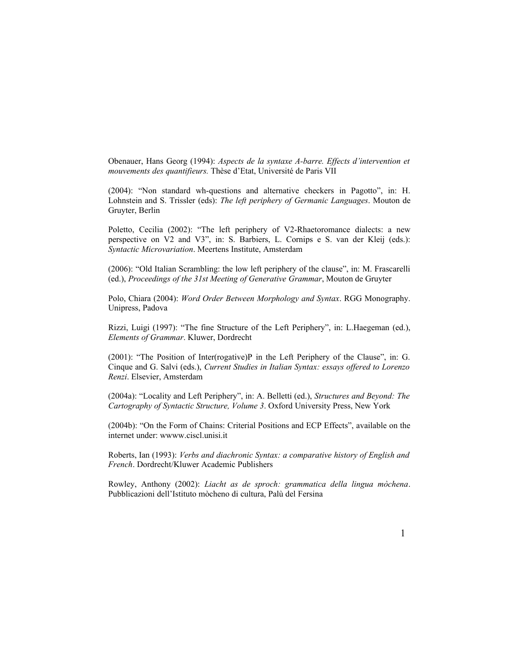Obenauer, Hans Georg (1994): *Aspects de la syntaxe A-barre. Effects d'intervention et mouvements des quantifieurs.* Thèse d'Etat, Université de Paris VII

(2004): "Non standard wh-questions and alternative checkers in Pagotto", in: H. Lohnstein and S. Trissler (eds): *The left periphery of Germanic Languages*. Mouton de Gruyter, Berlin

Poletto, Cecilia (2002): "The left periphery of V2-Rhaetoromance dialects: a new perspective on V2 and V3", in: S. Barbiers, L. Cornips e S. van der Kleij (eds.): *Syntactic Microvariation*. Meertens Institute, Amsterdam

(2006): "Old Italian Scrambling: the low left periphery of the clause", in: M. Frascarelli (ed.), *Proceedings of the 31st Meeting of Generative Grammar*, Mouton de Gruyter

Polo, Chiara (2004): *Word Order Between Morphology and Syntax*. RGG Monography. Unipress, Padova

Rizzi, Luigi (1997): "The fine Structure of the Left Periphery", in: L.Haegeman (ed.), *Elements of Grammar*. Kluwer, Dordrecht

(2001): "The Position of Inter(rogative)P in the Left Periphery of the Clause", in: G. Cinque and G. Salvi (eds.), *Current Studies in Italian Syntax: essays offered to Lorenzo Renzi*. Elsevier, Amsterdam

(2004a): "Locality and Left Periphery", in: A. Belletti (ed.), *Structures and Beyond: The Cartography of Syntactic Structure, Volume 3*. Oxford University Press, New York

(2004b): "On the Form of Chains: Criterial Positions and ECP Effects", available on the internet under: wwww.ciscl.unisi.it

Roberts, Ian (1993): *Verbs and diachronic Syntax: a comparative history of English and French*. Dordrecht/Kluwer Academic Publishers

Rowley, Anthony (2002): *Liacht as de sproch: grammatica della lingua mòchena*. Pubblicazioni dell'Istituto mòcheno di cultura, Palù del Fersina